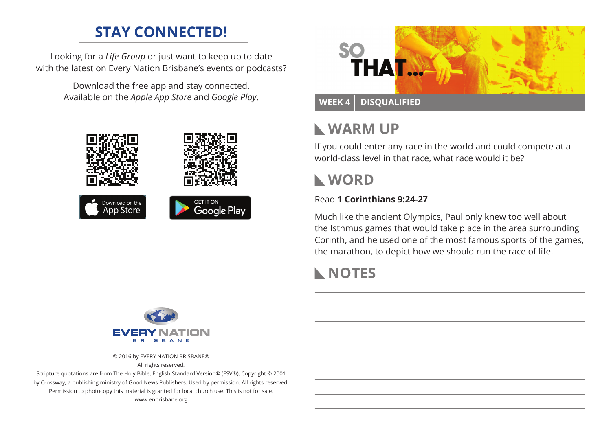# **STAY CONNECTED!**

Looking for a *Life Group* or just want to keep up to date with the latest on Every Nation Brisbane's events or podcasts?

> Download the free app and stay connected. Available on the *Apple App Store* and *Google Play*.





### **WEEK 4 Disqualified**

## **Warm Up**

If you could enter any race in the world and could compete at a world-class level in that race, what race would it be?

## **WORD**

### Read **1 Corinthians 9:24-27**

Much like the ancient Olympics, Paul only knew too well about the Isthmus games that would take place in the area surrounding Corinth, and he used one of the most famous sports of the games, the marathon, to depict how we should run the race of life.

# **NOTES**



© 2016 by EVERY NATION BRISBANE® All rights reserved.

Scripture quotations are from The Holy Bible, English Standard Version® (ESV®), Copyright © 2001 by Crossway, a publishing ministry of Good News Publishers. Used by permission. All rights reserved. Permission to photocopy this material is granted for local church use. This is not for sale. www.enbrisbane.org